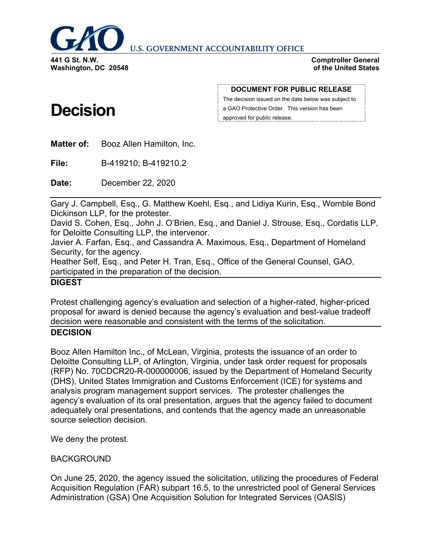

**U.S. GOVERNMENT ACCOUNTABILITY OFFICE** 

**Washington, DC 20548**

**Decision**

#### **Comptroller General of the United States**

#### **DOCUMENT FOR PUBLIC RELEASE**

The decision issued on the date below was subject to a GAO Protective Order. This version has been approved for public release.

**Matter of:** Booz Allen Hamilton, Inc.

**File:** B-419210; B-419210.2

**Date:** December 22, 2020

Gary J. Campbell, Esq., G. Matthew Koehl, Esq., and Lidiya Kurin, Esq., Womble Bond Dickinson LLP, for the protester.

David S. Cohen, Esq., John J. O'Brien, Esq., and Daniel J. Strouse, Esq., Cordatis LLP, for Deloitte Consulting LLP, the intervenor.

Javier A. Farfan, Esq., and Cassandra A. Maximous, Esq., Department of Homeland Security, for the agency.

Heather Self, Esq., and Peter H. Tran, Esq., Office of the General Counsel, GAO, participated in the preparation of the decision.

# **DIGEST**

Protest challenging agency's evaluation and selection of a higher-rated, higher-priced proposal for award is denied because the agency's evaluation and best-value tradeoff decision were reasonable and consistent with the terms of the solicitation.

## **DECISION**

Booz Allen Hamilton Inc., of McLean, Virginia, protests the issuance of an order to Deloitte Consulting LLP, of Arlington, Virginia, under task order request for proposals (RFP) No. 70CDCR20-R-000000006, issued by the Department of Homeland Security (DHS), United States Immigration and Customs Enforcement (ICE) for systems and analysis program management support services. The protester challenges the agency's evaluation of its oral presentation, argues that the agency failed to document adequately oral presentations, and contends that the agency made an unreasonable source selection decision.

We deny the protest.

## BACKGROUND

On June 25, 2020, the agency issued the solicitation, utilizing the procedures of Federal Acquisition Regulation (FAR) subpart 16.5, to the unrestricted pool of General Services Administration (GSA) One Acquisition Solution for Integrated Services (OASIS)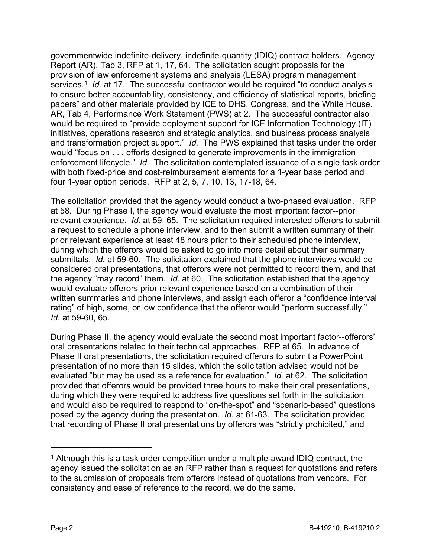governmentwide indefinite-delivery, indefinite-quantity (IDIQ) contract holders. Agency Report (AR), Tab 3, RFP at 1, 17, 64. The solicitation sought proposals for the provision of law enforcement systems and analysis (LESA) program management services.<sup>[1](#page-1-0)</sup> *Id.* at 17. The successful contractor would be required "to conduct analysis to ensure better accountability, consistency, and efficiency of statistical reports, briefing papers" and other materials provided by ICE to DHS, Congress, and the White House. AR, Tab 4, Performance Work Statement (PWS) at 2. The successful contractor also would be required to "provide deployment support for ICE Information Technology (IT) initiatives, operations research and strategic analytics, and business process analysis and transformation project support." *Id.* The PWS explained that tasks under the order would "focus on . . . efforts designed to generate improvements in the immigration enforcement lifecycle." *Id.* The solicitation contemplated issuance of a single task order with both fixed-price and cost-reimbursement elements for a 1-year base period and four 1-year option periods. RFP at 2, 5, 7, 10, 13, 17-18, 64.

The solicitation provided that the agency would conduct a two-phased evaluation. RFP at 58. During Phase I, the agency would evaluate the most important factor--prior relevant experience. *Id.* at 59, 65. The solicitation required interested offerors to submit a request to schedule a phone interview, and to then submit a written summary of their prior relevant experience at least 48 hours prior to their scheduled phone interview, during which the offerors would be asked to go into more detail about their summary submittals. *Id.* at 59-60. The solicitation explained that the phone interviews would be considered oral presentations, that offerors were not permitted to record them, and that the agency "may record" them. *Id.* at 60. The solicitation established that the agency would evaluate offerors prior relevant experience based on a combination of their written summaries and phone interviews, and assign each offeror a "confidence interval rating" of high, some, or low confidence that the offeror would "perform successfully." *Id.* at 59-60, 65.

During Phase II, the agency would evaluate the second most important factor--offerors' oral presentations related to their technical approaches. RFP at 65. In advance of Phase II oral presentations, the solicitation required offerors to submit a PowerPoint presentation of no more than 15 slides, which the solicitation advised would not be evaluated "but may be used as a reference for evaluation." *Id.* at 62. The solicitation provided that offerors would be provided three hours to make their oral presentations, during which they were required to address five questions set forth in the solicitation and would also be required to respond to "on-the-spot" and "scenario-based" questions posed by the agency during the presentation. *Id.* at 61-63. The solicitation provided that recording of Phase II oral presentations by offerors was "strictly prohibited," and

 $\overline{a}$ 

<span id="page-1-0"></span> $1$  Although this is a task order competition under a multiple-award IDIQ contract, the agency issued the solicitation as an RFP rather than a request for quotations and refers to the submission of proposals from offerors instead of quotations from vendors. For consistency and ease of reference to the record, we do the same.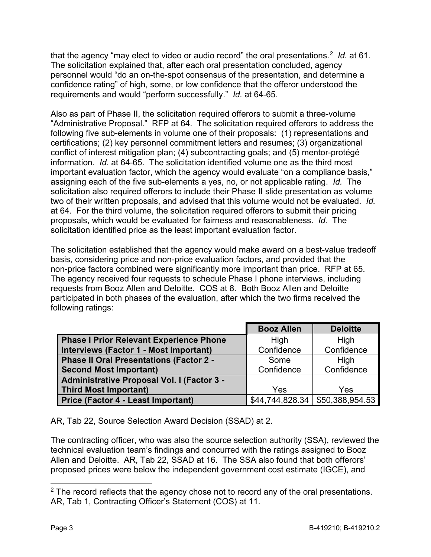that the agency "may elect to video or audio record" the oral presentations.<sup>[2](#page-2-0)</sup> *Id.* at 61. The solicitation explained that, after each oral presentation concluded, agency personnel would "do an on-the-spot consensus of the presentation, and determine a confidence rating" of high, some, or low confidence that the offeror understood the requirements and would "perform successfully." *Id.* at 64-65.

Also as part of Phase II, the solicitation required offerors to submit a three-volume "Administrative Proposal." RFP at 64. The solicitation required offerors to address the following five sub-elements in volume one of their proposals: (1) representations and certifications; (2) key personnel commitment letters and resumes; (3) organizational conflict of interest mitigation plan; (4) subcontracting goals; and (5) mentor-protégé information. *Id.* at 64-65. The solicitation identified volume one as the third most important evaluation factor, which the agency would evaluate "on a compliance basis," assigning each of the five sub-elements a yes, no, or not applicable rating. *Id.* The solicitation also required offerors to include their Phase II slide presentation as volume two of their written proposals, and advised that this volume would not be evaluated. *Id.* at 64. For the third volume, the solicitation required offerors to submit their pricing proposals, which would be evaluated for fairness and reasonableness. *Id.* The solicitation identified price as the least important evaluation factor.

The solicitation established that the agency would make award on a best-value tradeoff basis, considering price and non-price evaluation factors, and provided that the non-price factors combined were significantly more important than price. RFP at 65. The agency received four requests to schedule Phase I phone interviews, including requests from Booz Allen and Deloitte. COS at 8. Both Booz Allen and Deloitte participated in both phases of the evaluation, after which the two firms received the following ratings:

|                                                | <b>Booz Allen</b> | <b>Deloitte</b> |
|------------------------------------------------|-------------------|-----------------|
| <b>Phase I Prior Relevant Experience Phone</b> | High              | High            |
| Interviews (Factor 1 - Most Important)         | Confidence        | Confidence      |
| Phase II Oral Presentations (Factor 2 -        | Some              | High            |
| <b>Second Most Important)</b>                  | Confidence        | Confidence      |
| Administrative Proposal Vol. I (Factor 3 -     |                   |                 |
| <b>Third Most Important)</b>                   | Yes               | Yes             |
| <b>Price (Factor 4 - Least Important)</b>      | \$44,744,828.34   | \$50,388,954.53 |

AR, Tab 22, Source Selection Award Decision (SSAD) at 2.

The contracting officer, who was also the source selection authority (SSA), reviewed the technical evaluation team's findings and concurred with the ratings assigned to Booz Allen and Deloitte. AR, Tab 22, SSAD at 16. The SSA also found that both offerors' proposed prices were below the independent government cost estimate (IGCE), and

<span id="page-2-0"></span> $2$  The record reflects that the agency chose not to record any of the oral presentations. AR, Tab 1, Contracting Officer's Statement (COS) at 11.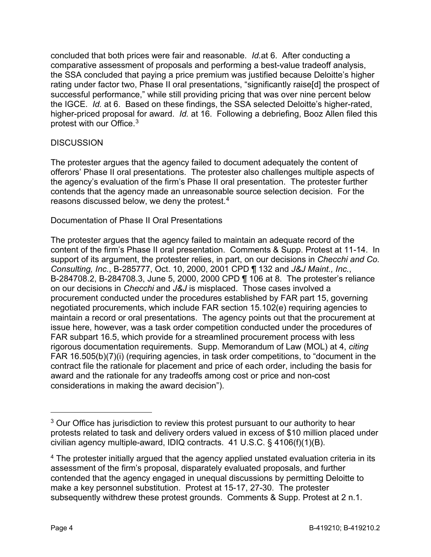concluded that both prices were fair and reasonable. *Id.*at 6. After conducting a comparative assessment of proposals and performing a best-value tradeoff analysis, the SSA concluded that paying a price premium was justified because Deloitte's higher rating under factor two, Phase II oral presentations, "significantly raise[d] the prospect of successful performance," while still providing pricing that was over nine percent below the IGCE. *Id.* at 6. Based on these findings, the SSA selected Deloitte's higher-rated, higher-priced proposal for award. *Id.* at 16. Following a debriefing, Booz Allen filed this protest with our Office.[3](#page-3-0)

# **DISCUSSION**

The protester argues that the agency failed to document adequately the content of offerors' Phase II oral presentations. The protester also challenges multiple aspects of the agency's evaluation of the firm's Phase II oral presentation. The protester further contends that the agency made an unreasonable source selection decision. For the reasons discussed below, we deny the protest.[4](#page-3-1)

Documentation of Phase II Oral Presentations

The protester argues that the agency failed to maintain an adequate record of the content of the firm's Phase II oral presentation. Comments & Supp. Protest at 11-14. In support of its argument, the protester relies, in part, on our decisions in *Checchi and Co. Consulting, Inc.*, B-285777, Oct. 10, 2000, 2001 CPD ¶ 132 and *J&J Maint., Inc.*, B-284708.2, B-284708.3, June 5, 2000, 2000 CPD ¶ 106 at 8. The protester's reliance on our decisions in *Checchi* and *J&J* is misplaced. Those cases involved a procurement conducted under the procedures established by FAR part 15, governing negotiated procurements, which include FAR section 15.102(e) requiring agencies to maintain a record or oral presentations. The agency points out that the procurement at issue here, however, was a task order competition conducted under the procedures of FAR subpart 16.5, which provide for a streamlined procurement process with less rigorous documentation requirements. Supp. Memorandum of Law (MOL) at 4, *citing*  FAR 16.505(b)(7)(i) (requiring agencies, in task order competitions, to "document in the contract file the rationale for placement and price of each order, including the basis for award and the rationale for any tradeoffs among cost or price and non-cost considerations in making the award decision").

 $\overline{a}$ 

<span id="page-3-0"></span><sup>&</sup>lt;sup>3</sup> Our Office has jurisdiction to review this protest pursuant to our authority to hear protests related to task and delivery orders valued in excess of \$10 million placed under civilian agency multiple-award, IDIQ contracts. 41 U.S.C. § 4106(f)(1)(B).

<span id="page-3-1"></span><sup>&</sup>lt;sup>4</sup> The protester initially argued that the agency applied unstated evaluation criteria in its assessment of the firm's proposal, disparately evaluated proposals, and further contended that the agency engaged in unequal discussions by permitting Deloitte to make a key personnel substitution. Protest at 15-17, 27-30. The protester subsequently withdrew these protest grounds. Comments & Supp. Protest at 2 n.1.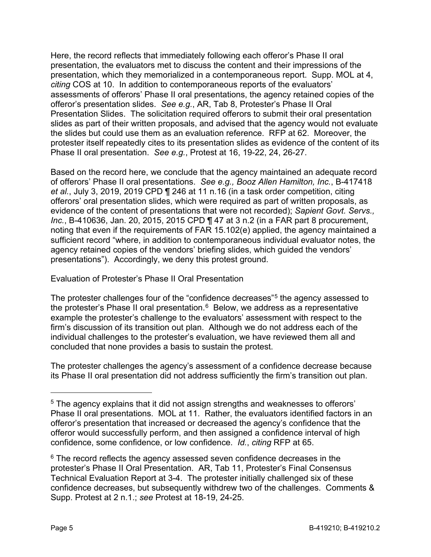Here, the record reflects that immediately following each offeror's Phase II oral presentation, the evaluators met to discuss the content and their impressions of the presentation, which they memorialized in a contemporaneous report. Supp. MOL at 4, *citing* COS at 10. In addition to contemporaneous reports of the evaluators' assessments of offerors' Phase II oral presentations, the agency retained copies of the offeror's presentation slides. *See e.g.*, AR, Tab 8, Protester's Phase II Oral Presentation Slides. The solicitation required offerors to submit their oral presentation slides as part of their written proposals, and advised that the agency would not evaluate the slides but could use them as an evaluation reference. RFP at 62. Moreover, the protester itself repeatedly cites to its presentation slides as evidence of the content of its Phase II oral presentation. *See e.g.*, Protest at 16, 19-22, 24, 26-27.

Based on the record here, we conclude that the agency maintained an adequate record of offerors' Phase II oral presentations. *See e.g., Booz Allen Hamilton, Inc.*, B-417418 *et al.*, July 3, 2019, 2019 CPD ¶ 246 at 11 n.16 (in a task order competition, citing offerors' oral presentation slides, which were required as part of written proposals, as evidence of the content of presentations that were not recorded); *Sapient Govt. Servs., Inc.*, B-410636, Jan. 20, 2015, 2015 CPD ¶ 47 at 3 n.2 (in a FAR part 8 procurement, noting that even if the requirements of FAR 15.102(e) applied, the agency maintained a sufficient record "where, in addition to contemporaneous individual evaluator notes, the agency retained copies of the vendors' briefing slides, which guided the vendors' presentations"). Accordingly, we deny this protest ground.

Evaluation of Protester's Phase II Oral Presentation

The protester challenges four of the "confidence decreases"[5](#page-4-0) the agency assessed to the protester's Phase II oral presentation.<sup>[6](#page-4-1)</sup> Below, we address as a representative example the protester's challenge to the evaluators' assessment with respect to the firm's discussion of its transition out plan. Although we do not address each of the individual challenges to the protester's evaluation, we have reviewed them all and concluded that none provides a basis to sustain the protest.

The protester challenges the agency's assessment of a confidence decrease because its Phase II oral presentation did not address sufficiently the firm's transition out plan.

 $\overline{a}$ 

<span id="page-4-0"></span><sup>&</sup>lt;sup>5</sup> The agency explains that it did not assign strengths and weaknesses to offerors' Phase II oral presentations. MOL at 11. Rather, the evaluators identified factors in an offeror's presentation that increased or decreased the agency's confidence that the offeror would successfully perform, and then assigned a confidence interval of high confidence, some confidence, or low confidence. *Id.*, *citing* RFP at 65.

<span id="page-4-1"></span> $6$  The record reflects the agency assessed seven confidence decreases in the protester's Phase II Oral Presentation. AR, Tab 11, Protester's Final Consensus Technical Evaluation Report at 3-4. The protester initially challenged six of these confidence decreases, but subsequently withdrew two of the challenges. Comments & Supp. Protest at 2 n.1.; *see* Protest at 18-19, 24-25.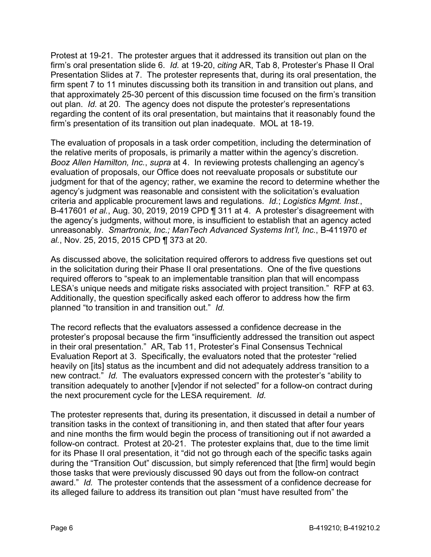Protest at 19-21. The protester argues that it addressed its transition out plan on the firm's oral presentation slide 6. *Id.* at 19-20, *citing* AR, Tab 8, Protester's Phase II Oral Presentation Slides at 7. The protester represents that, during its oral presentation, the firm spent 7 to 11 minutes discussing both its transition in and transition out plans, and that approximately 25-30 percent of this discussion time focused on the firm's transition out plan. *Id.* at 20. The agency does not dispute the protester's representations regarding the content of its oral presentation, but maintains that it reasonably found the firm's presentation of its transition out plan inadequate. MOL at 18-19.

The evaluation of proposals in a task order competition, including the determination of the relative merits of proposals, is primarily a matter within the agency's discretion. *Booz Allen Hamilton, Inc.*, *supra* at 4. In reviewing protests challenging an agency's evaluation of proposals, our Office does not reevaluate proposals or substitute our judgment for that of the agency; rather, we examine the record to determine whether the agency's judgment was reasonable and consistent with the solicitation's evaluation criteria and applicable procurement laws and regulations. *Id.*; *Logistics Mgmt. Inst.*, B-417601 *et al.*, Aug. 30, 2019, 2019 CPD ¶ 311 at 4. A protester's disagreement with the agency's judgments, without more, is insufficient to establish that an agency acted unreasonably. *Smartronix, Inc.; ManTech Advanced Systems Int'l, Inc.*, B-411970 *et al.*, Nov. 25, 2015, 2015 CPD ¶ 373 at 20.

As discussed above, the solicitation required offerors to address five questions set out in the solicitation during their Phase II oral presentations. One of the five questions required offerors to "speak to an implementable transition plan that will encompass LESA's unique needs and mitigate risks associated with project transition." RFP at 63. Additionally, the question specifically asked each offeror to address how the firm planned "to transition in and transition out." *Id.*

The record reflects that the evaluators assessed a confidence decrease in the protester's proposal because the firm "insufficiently addressed the transition out aspect in their oral presentation." AR, Tab 11, Protester's Final Consensus Technical Evaluation Report at 3. Specifically, the evaluators noted that the protester "relied heavily on [its] status as the incumbent and did not adequately address transition to a new contract." *Id.* The evaluators expressed concern with the protester's "ability to transition adequately to another [v]endor if not selected" for a follow-on contract during the next procurement cycle for the LESA requirement. *Id.*

The protester represents that, during its presentation, it discussed in detail a number of transition tasks in the context of transitioning in, and then stated that after four years and nine months the firm would begin the process of transitioning out if not awarded a follow-on contract. Protest at 20-21. The protester explains that, due to the time limit for its Phase II oral presentation, it "did not go through each of the specific tasks again during the "Transition Out" discussion, but simply referenced that [the firm] would begin those tasks that were previously discussed 90 days out from the follow-on contract award." *Id.* The protester contends that the assessment of a confidence decrease for its alleged failure to address its transition out plan "must have resulted from" the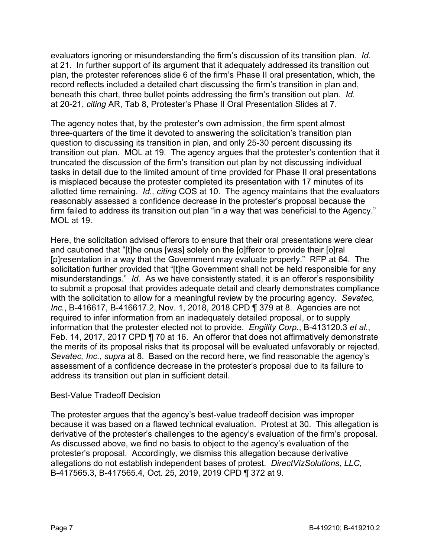evaluators ignoring or misunderstanding the firm's discussion of its transition plan. *Id.* at 21. In further support of its argument that it adequately addressed its transition out plan, the protester references slide 6 of the firm's Phase II oral presentation, which, the record reflects included a detailed chart discussing the firm's transition in plan and, beneath this chart, three bullet points addressing the firm's transition out plan. *Id.* at 20-21, *citing* AR, Tab 8, Protester's Phase II Oral Presentation Slides at 7.

The agency notes that, by the protester's own admission, the firm spent almost three-quarters of the time it devoted to answering the solicitation's transition plan question to discussing its transition in plan, and only 25-30 percent discussing its transition out plan. MOL at 19. The agency argues that the protester's contention that it truncated the discussion of the firm's transition out plan by not discussing individual tasks in detail due to the limited amount of time provided for Phase II oral presentations is misplaced because the protester completed its presentation with 17 minutes of its allotted time remaining. *Id., citing* COS at 10. The agency maintains that the evaluators reasonably assessed a confidence decrease in the protester's proposal because the firm failed to address its transition out plan "in a way that was beneficial to the Agency." MOL at 19.

Here, the solicitation advised offerors to ensure that their oral presentations were clear and cautioned that "[t]he onus [was] solely on the [o]fferor to provide their [o]ral [p]resentation in a way that the Government may evaluate properly." RFP at 64. The solicitation further provided that "[t]he Government shall not be held responsible for any misunderstandings." *Id.* As we have consistently stated, it is an offeror's responsibility to submit a proposal that provides adequate detail and clearly demonstrates compliance with the solicitation to allow for a meaningful review by the procuring agency. *Sevatec, Inc.*, B-416617, B-416617.2, Nov. 1, 2018, 2018 CPD ¶ 379 at 8. Agencies are not required to infer information from an inadequately detailed proposal, or to supply information that the protester elected not to provide. *Engility Corp.*, B-413120.3 *et al.*, Feb. 14, 2017, 2017 CPD ¶ 70 at 16. An offeror that does not affirmatively demonstrate the merits of its proposal risks that its proposal will be evaluated unfavorably or rejected. *Sevatec, Inc.*, *supra* at 8. Based on the record here, we find reasonable the agency's assessment of a confidence decrease in the protester's proposal due to its failure to address its transition out plan in sufficient detail.

## Best-Value Tradeoff Decision

The protester argues that the agency's best-value tradeoff decision was improper because it was based on a flawed technical evaluation. Protest at 30. This allegation is derivative of the protester's challenges to the agency's evaluation of the firm's proposal. As discussed above, we find no basis to object to the agency's evaluation of the protester's proposal. Accordingly, we dismiss this allegation because derivative allegations do not establish independent bases of protest. *DirectVizSolutions, LLC*, B-417565.3, B-417565.4, Oct. 25, 2019, 2019 CPD ¶ 372 at 9.